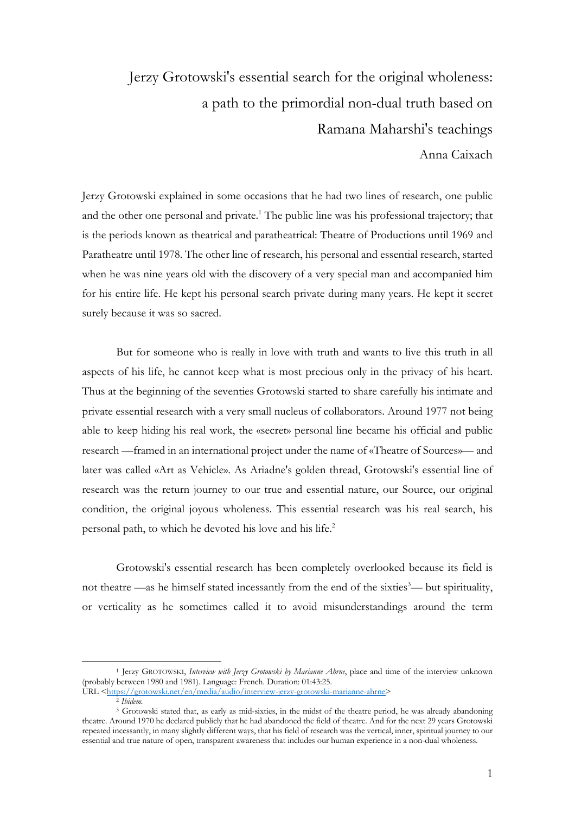## Jerzy Grotowski's essential search for the original wholeness: a path to the primordial non-dual truth based on Ramana Maharshi's teachings

Anna Caixach

Jerzy Grotowski explained in some occasions that he had two lines of research, one public and the other one personal and private.<sup>1</sup> The public line was his professional trajectory; that is the periods known as theatrical and paratheatrical: Theatre of Productions until 1969 and Paratheatre until 1978. The other line of research, his personal and essential research, started when he was nine years old with the discovery of a very special man and accompanied him for his entire life. He kept his personal search private during many years. He kept it secret surely because it was so sacred.

But for someone who is really in love with truth and wants to live this truth in all aspects of his life, he cannot keep what is most precious only in the privacy of his heart. Thus at the beginning of the seventies Grotowski started to share carefully his intimate and private essential research with a very small nucleus of collaborators. Around 1977 not being able to keep hiding his real work, the «secret» personal line became his official and public research —framed in an international project under the name of «Theatre of Sources»— and later was called «Art as Vehicle». As Ariadne's golden thread, Grotowski's essential line of research was the return journey to our true and essential nature, our Source, our original condition, the original joyous wholeness. This essential research was his real search, his personal path, to which he devoted his love and his life.2

Grotowski's essential research has been completely overlooked because its field is not theatre —as he himself stated incessantly from the end of the sixties<sup>3</sup>— but spirituality, or verticality as he sometimes called it to avoid misunderstandings around the term

<sup>1</sup> Jerzy GROTOWSKI, *Interview with Jerzy Grotowski by Marianne Ahrne*, place and time of the interview unknown (probably between 1980 and 1981). Language: French. Duration: 01:43:25.

URL <https://grotowski.net/en/media/audio/interview-jerzy-grotowski-marianne-ahrne>

<sup>2</sup> *Ibidem.*

<sup>3</sup> Grotowski stated that, as early as mid-sixties, in the midst of the theatre period, he was already abandoning theatre. Around 1970 he declared publicly that he had abandoned the field of theatre. And for the next 29 years Grotowski repeated incessantly, in many slightly different ways, that his field of research was the vertical, inner, spiritual journey to our essential and true nature of open, transparent awareness that includes our human experience in a non-dual wholeness.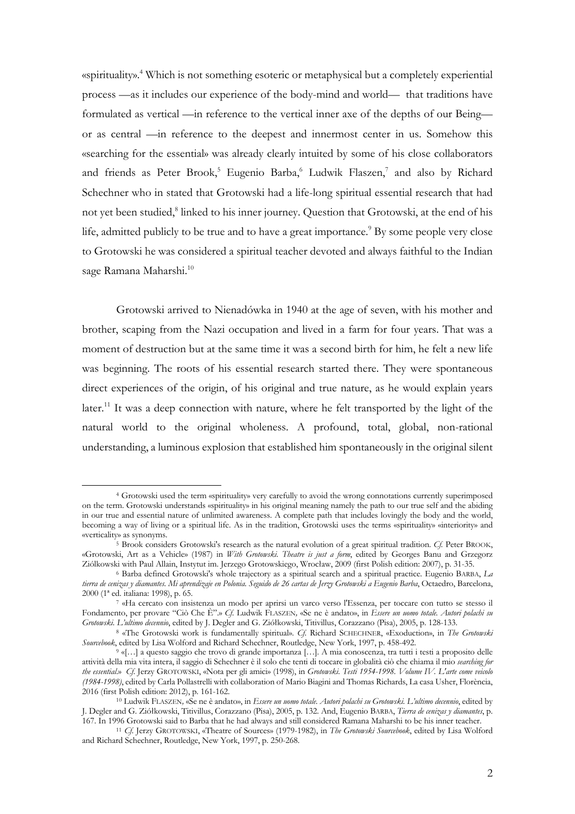«spirituality».<sup>4</sup> Which is not something esoteric or metaphysical but a completely experiential process —as it includes our experience of the body-mind and world— that traditions have formulated as vertical —in reference to the vertical inner axe of the depths of our Being or as central —in reference to the deepest and innermost center in us. Somehow this «searching for the essential» was already clearly intuited by some of his close collaborators and friends as Peter Brook,<sup>5</sup> Eugenio Barba,<sup>6</sup> Ludwik Flaszen,<sup>7</sup> and also by Richard Schechner who in stated that Grotowski had a life-long spiritual essential research that had not yet been studied, <sup>8</sup> linked to his inner journey. Question that Grotowski, at the end of his life, admitted publicly to be true and to have a great importance.<sup>9</sup> By some people very close to Grotowski he was considered a spiritual teacher devoted and always faithful to the Indian sage Ramana Maharshi.<sup>10</sup>

Grotowski arrived to Nienadówka in 1940 at the age of seven, with his mother and brother, scaping from the Nazi occupation and lived in a farm for four years. That was a moment of destruction but at the same time it was a second birth for him, he felt a new life was beginning. The roots of his essential research started there. They were spontaneous direct experiences of the origin, of his original and true nature, as he would explain years later.<sup>11</sup> It was a deep connection with nature, where he felt transported by the light of the natural world to the original wholeness. A profound, total, global, non-rational understanding, a luminous explosion that established him spontaneously in the original silent

<sup>4</sup> Grotowski used the term «spirituality» very carefully to avoid the wrong connotations currently superimposed on the term. Grotowski understands «spirituality» in his original meaning namely the path to our true self and the abiding in our true and essential nature of unlimited awareness. A complete path that includes lovingly the body and the world, becoming a way of living or a spiritual life. As in the tradition, Grotowski uses the terms «spirituality» «interiority» and «verticality» as synonyms.

<sup>5</sup> Brook considers Grotowski's research as the natural evolution of a great spiritual tradition. *Cf.* Peter BROOK, «Grotowski, Art as a Vehicle» (1987) in *With Grotowski. Theatre is just a form*, edited by Georges Banu and Grzegorz Ziólkowski with Paul Allain, Instytut im. Jerzego Grotowskiego, Wrocław, 2009 (first Polish edition: 2007), p. 31-35.

<sup>6</sup> Barba defined Grotowski's whole trajectory as a spiritual search and a spiritual practice. Eugenio BARBA, *La tierra de cenizas y diamantes. Mi aprendizaje en Polonia. Seguido de 26 cartas de Jerzy Grotowski a Eugenio Barba*, Octaedro, Barcelona, 2000 (1ª ed. italiana: 1998), p. 65.

<sup>7</sup> «Ha cercato con insistenza un modo per aprirsi un varco verso l'Essenza, per toccare con tutto se stesso il Fondamento, per provare "Ciò Che È".» *Cf*. Ludwik FLASZEN*,* «Se ne è andato», in *Essere un uomo totale. Autori polachi su Grotowski. L'ultimo decennio*, edited by J. Degler and G. Ziółkowski, Titivillus, Corazzano (Pisa), 2005, p. 128-133.

<sup>8</sup> «The Grotowski work is fundamentally spiritual». *Cf*. Richard SCHECHNER, «Exoduction», in *The Grotowski Sourcebook*, edited by Lisa Wolford and Richard Schechner, Routledge, New York, 1997, p. 458-492.

<sup>9</sup> «[…] a questo saggio che trovo di grande importanza […]. A mia conoscenza, tra tutti i testi a proposito delle attività della mia vita intera, il saggio di Schechner è il solo che tenti di toccare in globalità ciò che chiama il mio *searching for the essential*.» *Cf*. Jerzy GROTOWSKI, «Nota per gli amici» (1998), in *Grotowski. Testi 1954-1998. Volume IV. L'arte come veicolo (1984-1998)*, edited by Carla Pollastrelli with collaboration of Mario Biagini and Thomas Richards, La casa Usher, Florència, 2016 (first Polish edition: 2012), p. 161-162.

<sup>10</sup> Ludwik FLASZEN*,* «Se ne è andato», in *Essere un uomo totale. Autori polachi su Grotowski. L'ultimo decennio*, edited by J. Degler and G. Ziółkowski, Titivillus, Corazzano (Pisa), 2005, p. 132. And, Eugenio BARBA, *Tierra de cenizas y diamantes*, p.

<sup>167.</sup> In 1996 Grotowski said to Barba that he had always and still considered Ramana Maharshi to be his inner teacher.<br><sup>11</sup> Cf. Jerzy GROTOWSKI, «Theatre of Sources» (1979-1982), in *The Grotowski Sourcebook*, edited by Lis and Richard Schechner, Routledge, New York, 1997, p. 250-268.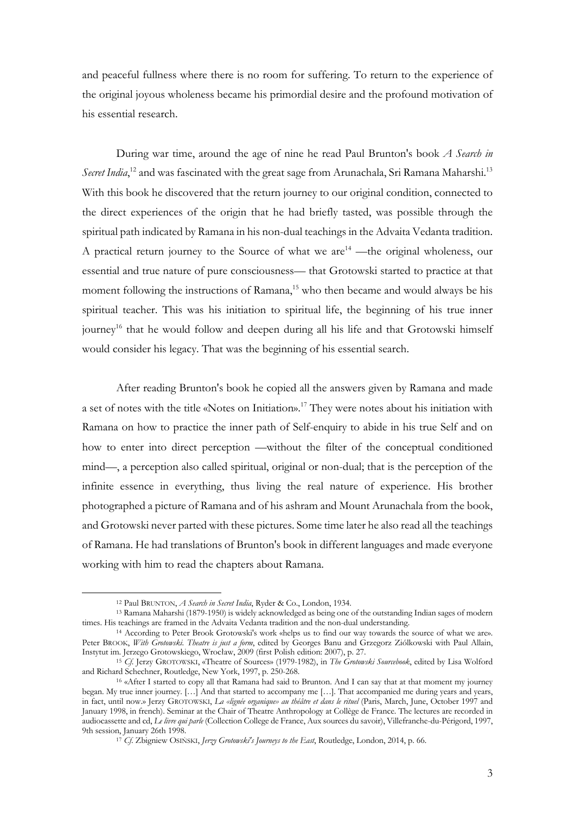and peaceful fullness where there is no room for suffering. To return to the experience of the original joyous wholeness became his primordial desire and the profound motivation of his essential research.

During war time, around the age of nine he read Paul Brunton's book *A Search in*  Secret India,<sup>12</sup> and was fascinated with the great sage from Arunachala, Sri Ramana Maharshi.<sup>13</sup> With this book he discovered that the return journey to our original condition, connected to the direct experiences of the origin that he had briefly tasted, was possible through the spiritual path indicated by Ramana in his non-dual teachings in the Advaita Vedanta tradition. A practical return journey to the Source of what we are  $14$  —the original wholeness, our essential and true nature of pure consciousness— that Grotowski started to practice at that moment following the instructions of Ramana,<sup>15</sup> who then became and would always be his spiritual teacher. This was his initiation to spiritual life, the beginning of his true inner journey<sup>16</sup> that he would follow and deepen during all his life and that Grotowski himself would consider his legacy. That was the beginning of his essential search.

After reading Brunton's book he copied all the answers given by Ramana and made a set of notes with the title «Notes on Initiation».17 They were notes about his initiation with Ramana on how to practice the inner path of Self-enquiry to abide in his true Self and on how to enter into direct perception —without the filter of the conceptual conditioned mind—, a perception also called spiritual, original or non-dual; that is the perception of the infinite essence in everything, thus living the real nature of experience. His brother photographed a picture of Ramana and of his ashram and Mount Arunachala from the book, and Grotowski never parted with these pictures. Some time later he also read all the teachings of Ramana. He had translations of Brunton's book in different languages and made everyone working with him to read the chapters about Ramana.

<sup>12</sup> Paul BRUNTON, *A Search in Secret India*, Ryder & Co., London, 1934.

<sup>13</sup> Ramana Maharshi (1879-1950) is widely acknowledged as being one of the outstanding Indian sages of modern times. His teachings are framed in the Advaita Vedanta tradition and the non-dual understanding.

<sup>14</sup> According to Peter Brook Grotowski's work «helps us to find our way towards the source of what we are». Peter BROOK, *With Grotowski. Theatre is just a form*, edited by Georges Banu and Grzegorz Ziólkowski with Paul Allain, Instytut im. Jerzego Grotowskiego, Wrocław, 2009 (first Polish edition: 2007), p. 27.

<sup>15</sup> *Cf*. Jerzy GROTOWSKI, «Theatre of Sources» (1979-1982), in *The Grotowski Sourcebook*, edited by Lisa Wolford and Richard Schechner, Routledge, New York, 1997, p. 250-268.

<sup>16</sup> «After I started to copy all that Ramana had said to Brunton. And I can say that at that moment my journey began. My true inner journey. […] And that started to accompany me […]. That accompanied me during years and years, in fact, until now.» Jerzy GROTOWSKI, *La «lignée organique» au théâtre et dans le rituel* (Paris, March, June, October 1997 and January 1998, in french). Seminar at the Chair of Theatre Anthropology at Collège de France. The lectures are recorded in audiocassette and cd, *Le livre qui parle* (Collection College de France, Aux sources du savoir), Villefranche-du-Périgord, 1997, 9th session, January 26th 1998.

<sup>17</sup> *Cf*. Zbigniew OSIŃSKI, *Jerzy Grotowski's Journeys to the East*, Routledge, London, 2014, p. 66.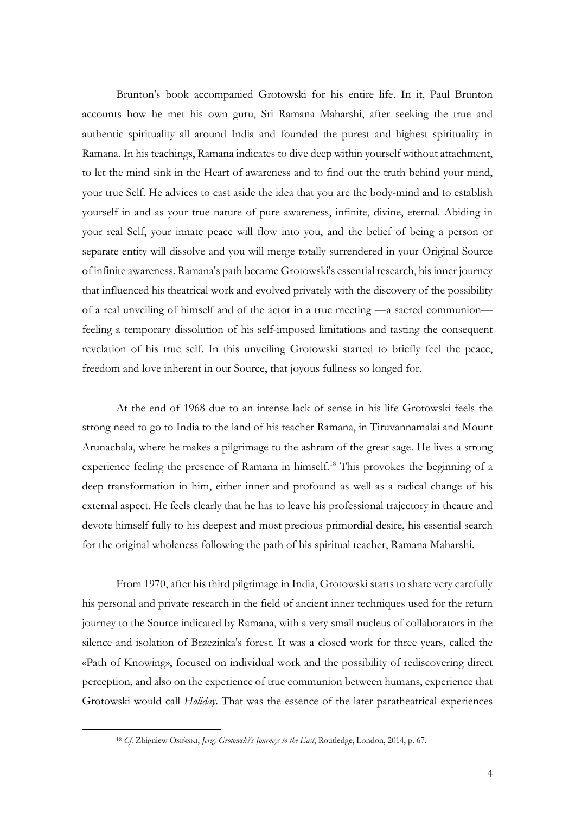Brunton's book accompanied Grotowski for his entire life. In it, Paul Brunton accounts how he met his own guru, Sri Ramana Maharshi, after seeking the true and authentic spirituality all around India and founded the purest and highest spirituality in Ramana. In his teachings, Ramana indicates to dive deep within yourself without attachment, to let the mind sink in the Heart of awareness and to find out the truth behind your mind, your true Self. He advices to cast aside the idea that you are the body-mind and to establish yourself in and as your true nature of pure awareness, infinite, divine, eternal. Abiding in your real Self, your innate peace will flow into you, and the belief of being a person or separate entity will dissolve and you will merge totally surrendered in your Original Source of infinite awareness. Ramana's path became Grotowski's essential research, his inner journey that influenced his theatrical work and evolved privately with the discovery of the possibility of a real unveiling of himself and of the actor in a true meeting —a sacred communion feeling a temporary dissolution of his self-imposed limitations and tasting the consequent revelation of his true self. In this unveiling Grotowski started to briefly feel the peace, freedom and love inherent in our Source, that joyous fullness so longed for.

At the end of 1968 due to an intense lack of sense in his life Grotowski feels the strong need to go to India to the land of his teacher Ramana, in Tiruvannamalai and Mount Arunachala, where he makes a pilgrimage to the ashram of the great sage. He lives a strong experience feeling the presence of Ramana in himself.<sup>18</sup> This provokes the beginning of a deep transformation in him, either inner and profound as well as a radical change of his external aspect. He feels clearly that he has to leave his professional trajectory in theatre and devote himself fully to his deepest and most precious primordial desire, his essential search for the original wholeness following the path of his spiritual teacher, Ramana Maharshi.

From 1970, after his third pilgrimage in India, Grotowski starts to share very carefully his personal and private research in the field of ancient inner techniques used for the return journey to the Source indicated by Ramana, with a very small nucleus of collaborators in the silence and isolation of Brzezinka's forest. It was a closed work for three years, called the «Path of Knowing», focused on individual work and the possibility of rediscovering direct perception, and also on the experience of true communion between humans, experience that Grotowski would call *Holiday*. That was the essence of the later paratheatrical experiences

<sup>18</sup> *Cf*. Zbigniew OSIŃSKI, *Jerzy Grotowski's Journeys to the East*, Routledge, London, 2014, p. 67.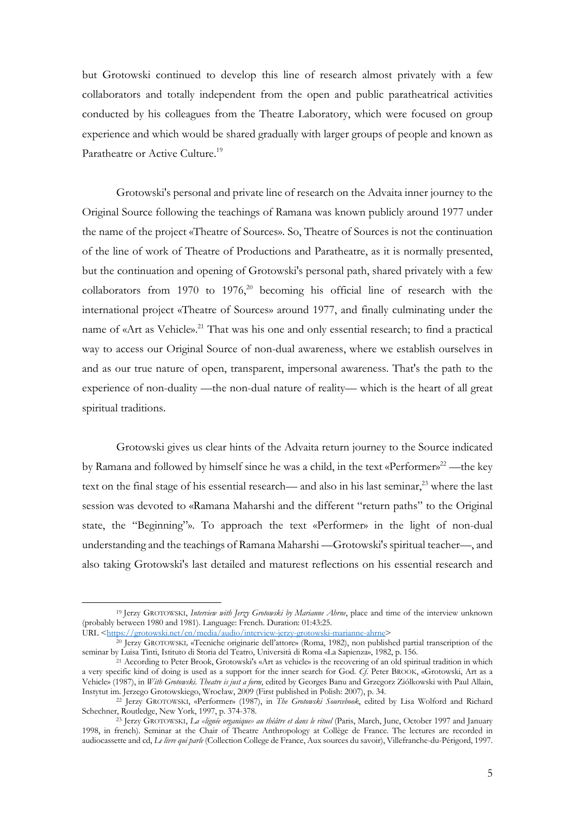but Grotowski continued to develop this line of research almost privately with a few collaborators and totally independent from the open and public paratheatrical activities conducted by his colleagues from the Theatre Laboratory, which were focused on group experience and which would be shared gradually with larger groups of people and known as Paratheatre or Active Culture.<sup>19</sup>

Grotowski's personal and private line of research on the Advaita inner journey to the Original Source following the teachings of Ramana was known publicly around 1977 under the name of the project «Theatre of Sources». So, Theatre of Sources is not the continuation of the line of work of Theatre of Productions and Paratheatre, as it is normally presented, but the continuation and opening of Grotowski's personal path, shared privately with a few collaborators from 1970 to 1976, <sup>20</sup> becoming his official line of research with the international project «Theatre of Sources» around 1977, and finally culminating under the name of «Art as Vehicle».<sup>21</sup> That was his one and only essential research; to find a practical way to access our Original Source of non-dual awareness, where we establish ourselves in and as our true nature of open, transparent, impersonal awareness. That's the path to the experience of non-duality —the non-dual nature of reality— which is the heart of all great spiritual traditions.

Grotowski gives us clear hints of the Advaita return journey to the Source indicated by Ramana and followed by himself since he was a child, in the text «Performer»<sup>22</sup>—the key text on the final stage of his essential research— and also in his last seminar,<sup>23</sup> where the last session was devoted to «Ramana Maharshi and the different "return paths" to the Original state, the "Beginning"». To approach the text «Performer» in the light of non-dual understanding and the teachings of Ramana Maharshi —Grotowski's spiritual teacher—, and also taking Grotowski's last detailed and maturest reflections on his essential research and

URL <https://grotowski.net/en/media/audio/interview-jerzy-grotowski-marianne-ahrne>

<sup>19</sup> Jerzy GROTOWSKI, *Interview with Jerzy Grotowski by Marianne Ahrne*, place and time of the interview unknown (probably between 1980 and 1981). Language: French. Duration: 01:43:25.

<sup>20</sup> Jerzy GROTOWSKI*,* «Tecniche originarie dell'attore» (Roma, 1982), non published partial transcription of the seminar by Luisa Tinti, Istituto di Storia del Teatro, Università di Roma «La Sapienza», 1982, p. 156.

<sup>21</sup> According to Peter Brook, Grotowski's «Art as vehicle» is the recovering of an old spiritual tradition in which a very specific kind of doing is used as a support for the inner search for God. *Cf*. Peter BROOK, «Grotowski, Art as a Vehicle» (1987), in *With Grotowski. Theatre is just a form*, edited by Georges Banu and Grzegorz Ziólkowski with Paul Allain, Instytut im. Jerzego Grotowskiego, Wrocław, 2009 (First published in Polish: 2007), p. 34.

<sup>22</sup> Jerzy GROTOWSKI, «Performer» (1987), in *The Grotowski Sourcebook*, edited by Lisa Wolford and Richard Schechner, Routledge, New York, 1997, p. 374-378.

<sup>23</sup> Jerzy GROTOWSKI, *La «lignée organique» au théâtre et dans le rituel* (Paris, March, June, October 1997 and January 1998, in french). Seminar at the Chair of Theatre Anthropology at Collège de France. The lectures are recorded in audiocassette and cd, *Le livre qui parle* (Collection College de France, Aux sources du savoir), Villefranche-du-Périgord, 1997.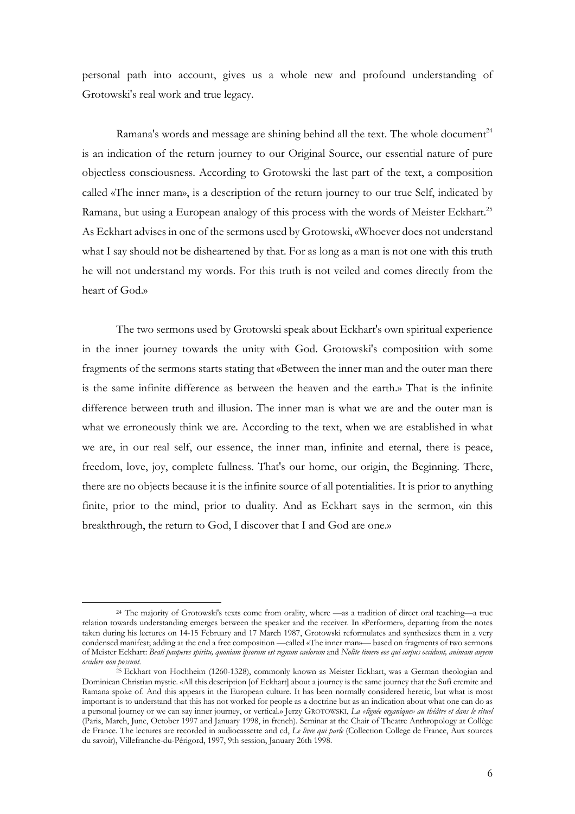personal path into account, gives us a whole new and profound understanding of Grotowski's real work and true legacy.

Ramana's words and message are shining behind all the text. The whole document<sup>24</sup> is an indication of the return journey to our Original Source, our essential nature of pure objectless consciousness. According to Grotowski the last part of the text, a composition called «The inner man», is a description of the return journey to our true Self, indicated by Ramana, but using a European analogy of this process with the words of Meister Eckhart.<sup>25</sup> As Eckhart advises in one of the sermons used by Grotowski, «Whoever does not understand what I say should not be disheartened by that. For as long as a man is not one with this truth he will not understand my words. For this truth is not veiled and comes directly from the heart of God.»

The two sermons used by Grotowski speak about Eckhart's own spiritual experience in the inner journey towards the unity with God. Grotowski's composition with some fragments of the sermons starts stating that «Between the inner man and the outer man there is the same infinite difference as between the heaven and the earth.» That is the infinite difference between truth and illusion. The inner man is what we are and the outer man is what we erroneously think we are. According to the text, when we are established in what we are, in our real self, our essence, the inner man, infinite and eternal, there is peace, freedom, love, joy, complete fullness. That's our home, our origin, the Beginning. There, there are no objects because it is the infinite source of all potentialities. It is prior to anything finite, prior to the mind, prior to duality. And as Eckhart says in the sermon, «in this breakthrough, the return to God, I discover that I and God are one.»

<sup>24</sup> The majority of Grotowski's texts come from orality, where —as a tradition of direct oral teaching—a true relation towards understanding emerges between the speaker and the receiver. In «Performer», departing from the notes taken during his lectures on 14-15 February and 17 March 1987, Grotowski reformulates and synthesizes them in a very condensed manifest; adding at the end a free composition —called «The inner man»— based on fragments of two sermons of Meister Eckhart: *Beati pauperes spiritu, quoniam ipsorum est regnum caelorum* and *Nolite timere eos qui corpus occidunt, animam auyem occidere non possunt*.

<sup>&</sup>lt;sup>25</sup> Eckhart von Hochheim (1260-1328), commonly known as Meister Eckhart, was a German theologian and Dominican Christian mystic. «All this description [of Eckhart] about a journey is the same journey that the Sufi eremite and Ramana spoke of. And this appears in the European culture. It has been normally considered heretic, but what is most important is to understand that this has not worked for people as a doctrine but as an indication about what one can do as a personal journey or we can say inner journey, or vertical.» Jerzy GROTOWSKI, *La «lignée organique» au théâtre et dans le rituel* (Paris, March, June, October 1997 and January 1998, in french). Seminar at the Chair of Theatre Anthropology at Collège de France. The lectures are recorded in audiocassette and cd, *Le livre qui parle* (Collection College de France, Aux sources du savoir), Villefranche-du-Périgord, 1997, 9th session, January 26th 1998.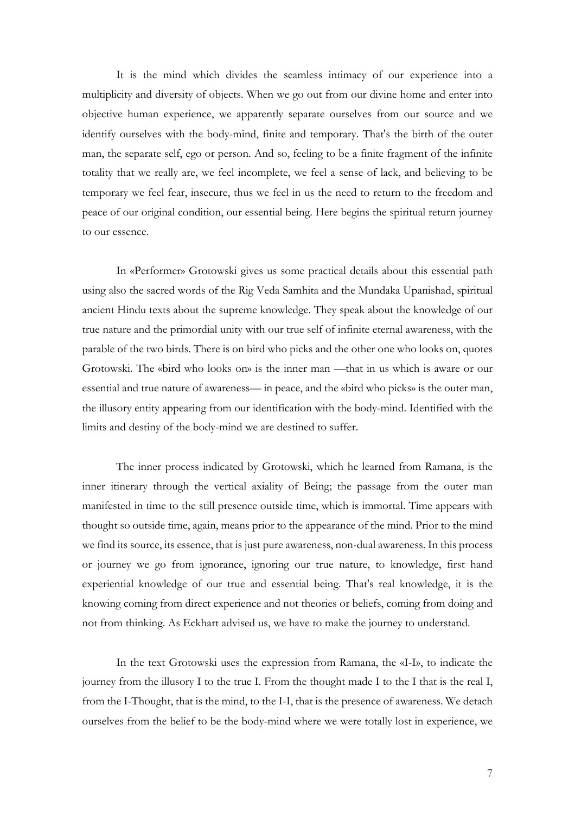It is the mind which divides the seamless intimacy of our experience into a multiplicity and diversity of objects. When we go out from our divine home and enter into objective human experience, we apparently separate ourselves from our source and we identify ourselves with the body-mind, finite and temporary. That's the birth of the outer man, the separate self, ego or person. And so, feeling to be a finite fragment of the infinite totality that we really are, we feel incomplete, we feel a sense of lack, and believing to be temporary we feel fear, insecure, thus we feel in us the need to return to the freedom and peace of our original condition, our essential being. Here begins the spiritual return journey to our essence.

In «Performer» Grotowski gives us some practical details about this essential path using also the sacred words of the Rig Veda Samhita and the Mundaka Upanishad, spiritual ancient Hindu texts about the supreme knowledge. They speak about the knowledge of our true nature and the primordial unity with our true self of infinite eternal awareness, with the parable of the two birds. There is on bird who picks and the other one who looks on, quotes Grotowski. The «bird who looks on» is the inner man —that in us which is aware or our essential and true nature of awareness— in peace, and the «bird who picks» is the outer man, the illusory entity appearing from our identification with the body-mind. Identified with the limits and destiny of the body-mind we are destined to suffer.

The inner process indicated by Grotowski, which he learned from Ramana, is the inner itinerary through the vertical axiality of Being; the passage from the outer man manifested in time to the still presence outside time, which is immortal. Time appears with thought so outside time, again, means prior to the appearance of the mind. Prior to the mind we find its source, its essence, that is just pure awareness, non-dual awareness. In this process or journey we go from ignorance, ignoring our true nature, to knowledge, first hand experiential knowledge of our true and essential being. That's real knowledge, it is the knowing coming from direct experience and not theories or beliefs, coming from doing and not from thinking. As Eckhart advised us, we have to make the journey to understand.

In the text Grotowski uses the expression from Ramana, the «I-I», to indicate the journey from the illusory I to the true I. From the thought made I to the I that is the real I, from the I-Thought, that is the mind, to the I-I, that is the presence of awareness. We detach ourselves from the belief to be the body-mind where we were totally lost in experience, we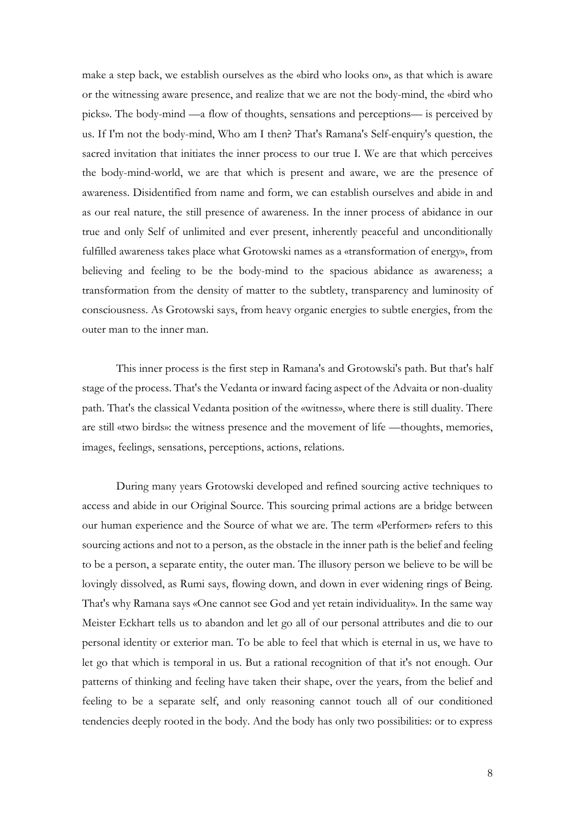make a step back, we establish ourselves as the «bird who looks on», as that which is aware or the witnessing aware presence, and realize that we are not the body-mind, the «bird who picks». The body-mind —a flow of thoughts, sensations and perceptions— is perceived by us. If I'm not the body-mind, Who am I then? That's Ramana's Self-enquiry's question, the sacred invitation that initiates the inner process to our true I. We are that which perceives the body-mind-world, we are that which is present and aware, we are the presence of awareness. Disidentified from name and form, we can establish ourselves and abide in and as our real nature, the still presence of awareness. In the inner process of abidance in our true and only Self of unlimited and ever present, inherently peaceful and unconditionally fulfilled awareness takes place what Grotowski names as a «transformation of energy», from believing and feeling to be the body-mind to the spacious abidance as awareness; a transformation from the density of matter to the subtlety, transparency and luminosity of consciousness. As Grotowski says, from heavy organic energies to subtle energies, from the outer man to the inner man.

This inner process is the first step in Ramana's and Grotowski's path. But that's half stage of the process. That's the Vedanta or inward facing aspect of the Advaita or non-duality path. That's the classical Vedanta position of the «witness», where there is still duality. There are still «two birds»: the witness presence and the movement of life —thoughts, memories, images, feelings, sensations, perceptions, actions, relations.

During many years Grotowski developed and refined sourcing active techniques to access and abide in our Original Source. This sourcing primal actions are a bridge between our human experience and the Source of what we are. The term «Performer» refers to this sourcing actions and not to a person, as the obstacle in the inner path is the belief and feeling to be a person, a separate entity, the outer man. The illusory person we believe to be will be lovingly dissolved, as Rumi says, flowing down, and down in ever widening rings of Being. That's why Ramana says «One cannot see God and yet retain individuality». In the same way Meister Eckhart tells us to abandon and let go all of our personal attributes and die to our personal identity or exterior man. To be able to feel that which is eternal in us, we have to let go that which is temporal in us. But a rational recognition of that it's not enough. Our patterns of thinking and feeling have taken their shape, over the years, from the belief and feeling to be a separate self, and only reasoning cannot touch all of our conditioned tendencies deeply rooted in the body. And the body has only two possibilities: or to express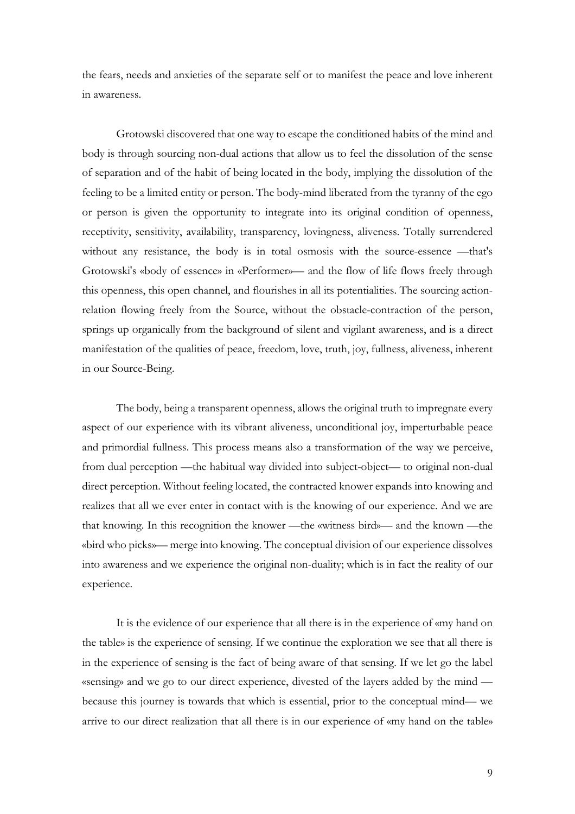the fears, needs and anxieties of the separate self or to manifest the peace and love inherent in awareness.

Grotowski discovered that one way to escape the conditioned habits of the mind and body is through sourcing non-dual actions that allow us to feel the dissolution of the sense of separation and of the habit of being located in the body, implying the dissolution of the feeling to be a limited entity or person. The body-mind liberated from the tyranny of the ego or person is given the opportunity to integrate into its original condition of openness, receptivity, sensitivity, availability, transparency, lovingness, aliveness. Totally surrendered without any resistance, the body is in total osmosis with the source-essence —that's Grotowski's «body of essence» in «Performer»— and the flow of life flows freely through this openness, this open channel, and flourishes in all its potentialities. The sourcing actionrelation flowing freely from the Source, without the obstacle-contraction of the person, springs up organically from the background of silent and vigilant awareness, and is a direct manifestation of the qualities of peace, freedom, love, truth, joy, fullness, aliveness, inherent in our Source-Being.

The body, being a transparent openness, allows the original truth to impregnate every aspect of our experience with its vibrant aliveness, unconditional joy, imperturbable peace and primordial fullness. This process means also a transformation of the way we perceive, from dual perception —the habitual way divided into subject-object— to original non-dual direct perception. Without feeling located, the contracted knower expands into knowing and realizes that all we ever enter in contact with is the knowing of our experience. And we are that knowing. In this recognition the knower —the «witness bird»— and the known —the «bird who picks»— merge into knowing. The conceptual division of our experience dissolves into awareness and we experience the original non-duality; which is in fact the reality of our experience.

It is the evidence of our experience that all there is in the experience of «my hand on the table» is the experience of sensing. If we continue the exploration we see that all there is in the experience of sensing is the fact of being aware of that sensing. If we let go the label «sensing» and we go to our direct experience, divested of the layers added by the mind because this journey is towards that which is essential, prior to the conceptual mind— we arrive to our direct realization that all there is in our experience of «my hand on the table»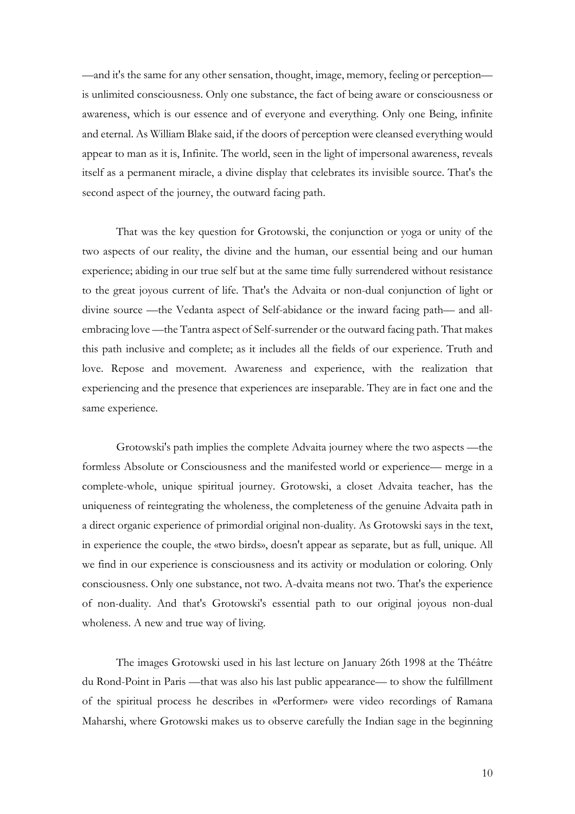—and it's the same for any other sensation, thought, image, memory, feeling or perception is unlimited consciousness. Only one substance, the fact of being aware or consciousness or awareness, which is our essence and of everyone and everything. Only one Being, infinite and eternal. As William Blake said, if the doors of perception were cleansed everything would appear to man as it is, Infinite. The world, seen in the light of impersonal awareness, reveals itself as a permanent miracle, a divine display that celebrates its invisible source. That's the second aspect of the journey, the outward facing path.

That was the key question for Grotowski, the conjunction or yoga or unity of the two aspects of our reality, the divine and the human, our essential being and our human experience; abiding in our true self but at the same time fully surrendered without resistance to the great joyous current of life. That's the Advaita or non-dual conjunction of light or divine source —the Vedanta aspect of Self-abidance or the inward facing path— and allembracing love —the Tantra aspect of Self-surrender or the outward facing path. That makes this path inclusive and complete; as it includes all the fields of our experience. Truth and love. Repose and movement. Awareness and experience, with the realization that experiencing and the presence that experiences are inseparable. They are in fact one and the same experience.

Grotowski's path implies the complete Advaita journey where the two aspects —the formless Absolute or Consciousness and the manifested world or experience— merge in a complete-whole, unique spiritual journey. Grotowski, a closet Advaita teacher, has the uniqueness of reintegrating the wholeness, the completeness of the genuine Advaita path in a direct organic experience of primordial original non-duality. As Grotowski says in the text, in experience the couple, the «two birds», doesn't appear as separate, but as full, unique. All we find in our experience is consciousness and its activity or modulation or coloring. Only consciousness. Only one substance, not two. A-dvaita means not two. That's the experience of non-duality. And that's Grotowski's essential path to our original joyous non-dual wholeness. A new and true way of living.

The images Grotowski used in his last lecture on January 26th 1998 at the Théâtre du Rond-Point in Paris —that was also his last public appearance— to show the fulfillment of the spiritual process he describes in «Performer» were video recordings of Ramana Maharshi, where Grotowski makes us to observe carefully the Indian sage in the beginning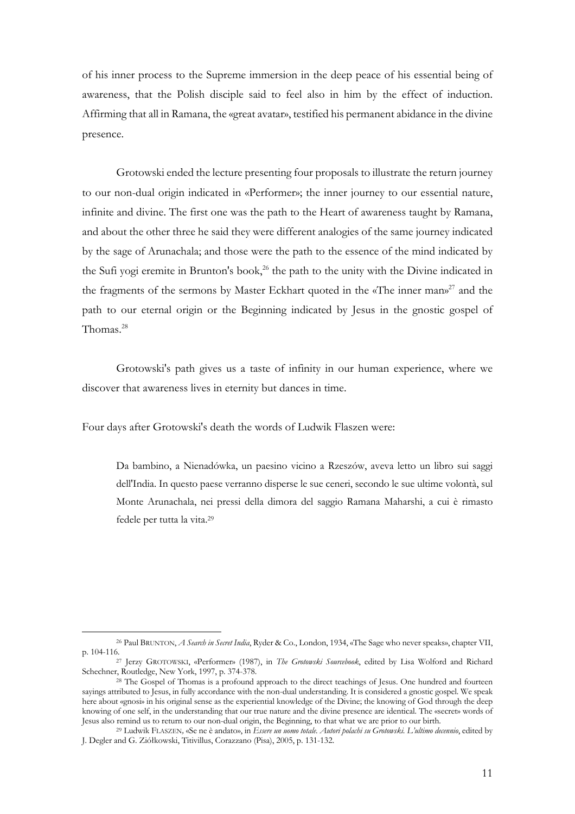of his inner process to the Supreme immersion in the deep peace of his essential being of awareness, that the Polish disciple said to feel also in him by the effect of induction. Affirming that all in Ramana, the «great avatar», testified his permanent abidance in the divine presence.

Grotowski ended the lecture presenting four proposals to illustrate the return journey to our non-dual origin indicated in «Performer»; the inner journey to our essential nature, infinite and divine. The first one was the path to the Heart of awareness taught by Ramana, and about the other three he said they were different analogies of the same journey indicated by the sage of Arunachala; and those were the path to the essence of the mind indicated by the Sufi yogi eremite in Brunton's book, <sup>26</sup> the path to the unity with the Divine indicated in the fragments of the sermons by Master Eckhart quoted in the «The inner man» <sup>27</sup> and the path to our eternal origin or the Beginning indicated by Jesus in the gnostic gospel of Thomas.28

Grotowski's path gives us a taste of infinity in our human experience, where we discover that awareness lives in eternity but dances in time.

Four days after Grotowski's death the words of Ludwik Flaszen were:

Da bambino, a Nienadówka, un paesino vicino a Rzeszów, aveva letto un libro sui saggi dell'India. In questo paese verranno disperse le sue ceneri, secondo le sue ultime volontà, sul Monte Arunachala, nei pressi della dimora del saggio Ramana Maharshi, a cui è rimasto fedele per tutta la vita.29

<sup>26</sup> Paul BRUNTON, *A Search in Secret India*, Ryder & Co., London, 1934, «The Sage who never speaks», chapter VII, p. 104-116.

<sup>27</sup> Jerzy GROTOWSKI, «Performer» (1987), in *The Grotowski Sourcebook*, edited by Lisa Wolford and Richard Schechner, Routledge, New York, 1997, p. 374-378.

<sup>&</sup>lt;sup>28</sup> The Gospel of Thomas is a profound approach to the direct teachings of Jesus. One hundred and fourteen sayings attributed to Jesus, in fully accordance with the non-dual understanding. It is considered a gnostic gospel. We speak here about «gnosi» in his original sense as the experiential knowledge of the Divine; the knowing of God through the deep knowing of one self, in the understanding that our true nature and the divine presence are identical. The «secret» words of Jesus also remind us to return to our non-dual origin, the Beginning, to that what we are prior to our birth.

<sup>29</sup> Ludwik FLASZEN*,* «Se ne è andato», in *Essere un uomo totale. Autori polachi su Grotowski. L'ultimo decennio*, edited by J. Degler and G. Ziółkowski, Titivillus, Corazzano (Pisa), 2005, p. 131-132.